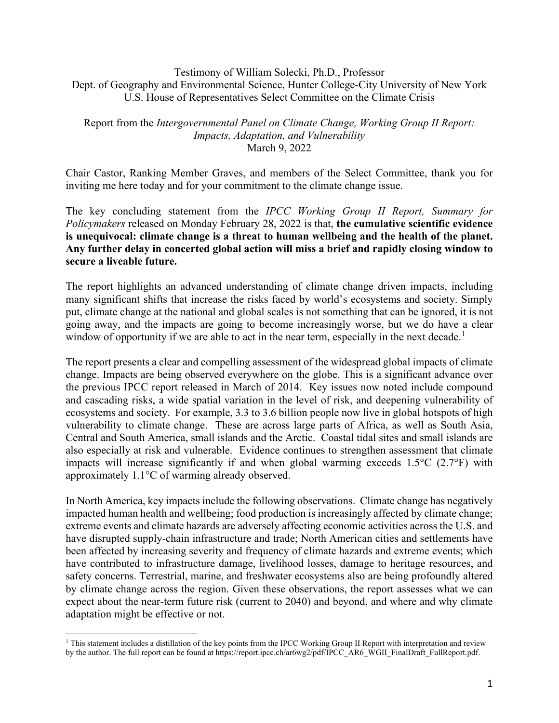Testimony of William Solecki, Ph.D., Professor Dept. of Geography and Environmental Science, Hunter College-City University of New York U.S. House of Representatives Select Committee on the Climate Crisis

## Report from the *Intergovernmental Panel on Climate Change, Working Group II Report: Impacts, Adaptation, and Vulnerability* March 9, 2022

Chair Castor, Ranking Member Graves, and members of the Select Committee, thank you for inviting me here today and for your commitment to the climate change issue.

The key concluding statement from the *IPCC Working Group II Report, Summary for Policymakers* released on Monday February 28, 2022 is that, **the cumulative scientific evidence is unequivocal: climate change is a threat to human wellbeing and the health of the planet. Any further delay in concerted global action will miss a brief and rapidly closing window to secure a liveable future.**

The report highlights an advanced understanding of climate change driven impacts, including many significant shifts that increase the risks faced by world's ecosystems and society. Simply put, climate change at the national and global scales is not something that can be ignored, it is not going away, and the impacts are going to become increasingly worse, but we do have a clear window of opportunity if we are able to act in the near term, especially in the next decade.<sup>[1](#page-0-0)</sup>

The report presents a clear and compelling assessment of the widespread global impacts of climate change. Impacts are being observed everywhere on the globe. This is a significant advance over the previous IPCC report released in March of 2014. Key issues now noted include compound and cascading risks, a wide spatial variation in the level of risk, and deepening vulnerability of ecosystems and society. For example, 3.3 to 3.6 billion people now live in global hotspots of high vulnerability to climate change. These are across large parts of Africa, as well as South Asia, Central and South America, small islands and the Arctic. Coastal tidal sites and small islands are also especially at risk and vulnerable. Evidence continues to strengthen assessment that climate impacts will increase significantly if and when global warming exceeds 1.5°C (2.7°F) with approximately 1.1°C of warming already observed.

In North America, key impacts include the following observations. Climate change has negatively impacted human health and wellbeing; food production is increasingly affected by climate change; extreme events and climate hazards are adversely affecting economic activities across the U.S. and have disrupted supply-chain infrastructure and trade; North American cities and settlements have been affected by increasing severity and frequency of climate hazards and extreme events; which have contributed to infrastructure damage, livelihood losses, damage to heritage resources, and safety concerns. Terrestrial, marine, and freshwater ecosystems also are being profoundly altered by climate change across the region. Given these observations, the report assesses what we can expect about the near-term future risk (current to 2040) and beyond, and where and why climate adaptation might be effective or not.

<span id="page-0-0"></span><sup>1</sup> This statement includes a distillation of the key points from the IPCC Working Group II Report with interpretation and review by the author. The full report can be found at https://report.ipcc.ch/ar6wg2/pdf/IPCC\_AR6\_WGII\_FinalDraft\_FullReport.pdf.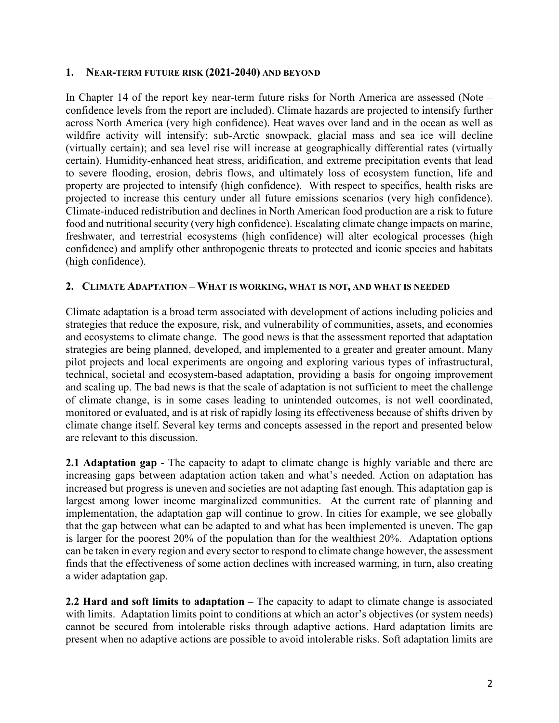## **1. NEAR-TERM FUTURE RISK (2021-2040) AND BEYOND**

In Chapter 14 of the report key near-term future risks for North America are assessed (Note – confidence levels from the report are included). Climate hazards are projected to intensify further across North America (very high confidence). Heat waves over land and in the ocean as well as wildfire activity will intensify; sub-Arctic snowpack, glacial mass and sea ice will decline (virtually certain); and sea level rise will increase at geographically differential rates (virtually certain). Humidity-enhanced heat stress, aridification, and extreme precipitation events that lead to severe flooding, erosion, debris flows, and ultimately loss of ecosystem function, life and property are projected to intensify (high confidence). With respect to specifics, health risks are projected to increase this century under all future emissions scenarios (very high confidence). Climate-induced redistribution and declines in North American food production are a risk to future food and nutritional security (very high confidence). Escalating climate change impacts on marine, freshwater, and terrestrial ecosystems (high confidence) will alter ecological processes (high confidence) and amplify other anthropogenic threats to protected and iconic species and habitats (high confidence).

## **2. CLIMATE ADAPTATION – WHAT IS WORKING, WHAT IS NOT, AND WHAT IS NEEDED**

Climate adaptation is a broad term associated with development of actions including policies and strategies that reduce the exposure, risk, and vulnerability of communities, assets, and economies and ecosystems to climate change. The good news is that the assessment reported that adaptation strategies are being planned, developed, and implemented to a greater and greater amount. Many pilot projects and local experiments are ongoing and exploring various types of infrastructural, technical, societal and ecosystem-based adaptation, providing a basis for ongoing improvement and scaling up. The bad news is that the scale of adaptation is not sufficient to meet the challenge of climate change, is in some cases leading to unintended outcomes, is not well coordinated, monitored or evaluated, and is at risk of rapidly losing its effectiveness because of shifts driven by climate change itself. Several key terms and concepts assessed in the report and presented below are relevant to this discussion.

**2.1 Adaptation gap** - The capacity to adapt to climate change is highly variable and there are increasing gaps between adaptation action taken and what's needed. Action on adaptation has increased but progress is uneven and societies are not adapting fast enough. This adaptation gap is largest among lower income marginalized communities. At the current rate of planning and implementation, the adaptation gap will continue to grow. In cities for example, we see globally that the gap between what can be adapted to and what has been implemented is uneven. The gap is larger for the poorest 20% of the population than for the wealthiest 20%. Adaptation options can be taken in every region and every sector to respond to climate change however, the assessment finds that the effectiveness of some action declines with increased warming, in turn, also creating a wider adaptation gap.

**2.2 Hard and soft limits to adaptation –** The capacity to adapt to climate change is associated with limits. Adaptation limits point to conditions at which an actor's objectives (or system needs) cannot be secured from intolerable risks through adaptive actions. Hard adaptation limits are present when no adaptive actions are possible to avoid intolerable risks. Soft adaptation limits are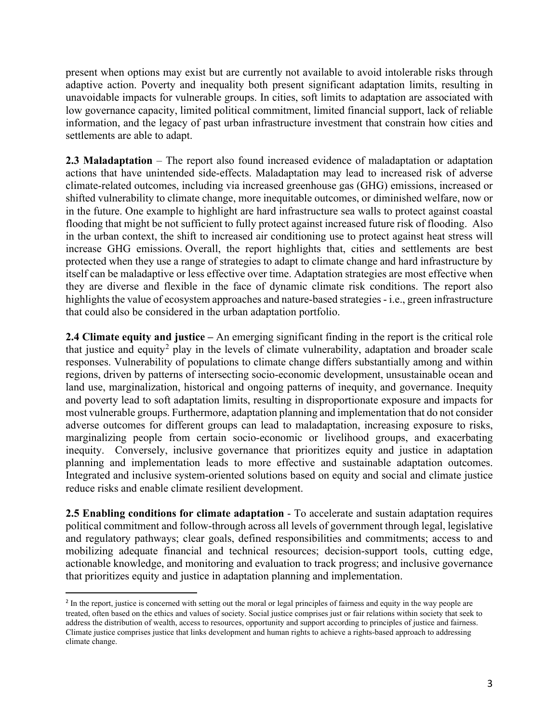present when options may exist but are currently not available to avoid intolerable risks through adaptive action. Poverty and inequality both present significant adaptation limits, resulting in unavoidable impacts for vulnerable groups. In cities, soft limits to adaptation are associated with low governance capacity, limited political commitment, limited financial support, lack of reliable information, and the legacy of past urban infrastructure investment that constrain how cities and settlements are able to adapt.

**2.3 Maladaptation** – The report also found increased evidence of maladaptation or adaptation actions that have unintended side-effects. Maladaptation may lead to increased risk of adverse climate-related outcomes, including via increased greenhouse gas (GHG) emissions, increased or shifted vulnerability to climate change, more inequitable outcomes, or diminished welfare, now or in the future. One example to highlight are hard infrastructure sea walls to protect against coastal flooding that might be not sufficient to fully protect against increased future risk of flooding. Also in the urban context, the shift to increased air conditioning use to protect against heat stress will increase GHG emissions. Overall, the report highlights that, cities and settlements are best protected when they use a range of strategies to adapt to climate change and hard infrastructure by itself can be maladaptive or less effective over time. Adaptation strategies are most effective when they are diverse and flexible in the face of dynamic climate risk conditions. The report also highlights the value of ecosystem approaches and nature-based strategies - i.e., green infrastructure that could also be considered in the urban adaptation portfolio.

**2.4 Climate equity and justice –** An emerging significant finding in the report is the critical role that justice and equity<sup>[2](#page-2-0)</sup> play in the levels of climate vulnerability, adaptation and broader scale responses. Vulnerability of populations to climate change differs substantially among and within regions, driven by patterns of intersecting socio-economic development, unsustainable ocean and land use, marginalization, historical and ongoing patterns of inequity, and governance. Inequity and poverty lead to soft adaptation limits, resulting in disproportionate exposure and impacts for most vulnerable groups. Furthermore, adaptation planning and implementation that do not consider adverse outcomes for different groups can lead to maladaptation, increasing exposure to risks, marginalizing people from certain socio-economic or livelihood groups, and exacerbating inequity. Conversely, inclusive governance that prioritizes equity and justice in adaptation planning and implementation leads to more effective and sustainable adaptation outcomes. Integrated and inclusive system-oriented solutions based on equity and social and climate justice reduce risks and enable climate resilient development.

**2.5 Enabling conditions for climate adaptation** - To accelerate and sustain adaptation requires political commitment and follow-through across all levels of government through legal, legislative and regulatory pathways; clear goals, defined responsibilities and commitments; access to and mobilizing adequate financial and technical resources; decision-support tools, cutting edge, actionable knowledge, and monitoring and evaluation to track progress; and inclusive governance that prioritizes equity and justice in adaptation planning and implementation.

<span id="page-2-0"></span><sup>&</sup>lt;sup>2</sup> In the report, justice is concerned with setting out the moral or legal principles of fairness and equity in the way people are treated, often based on the ethics and values of society. Social justice comprises just or fair relations within society that seek to address the distribution of wealth, access to resources, opportunity and support according to principles of justice and fairness. Climate justice comprises justice that links development and human rights to achieve a rights-based approach to addressing climate change.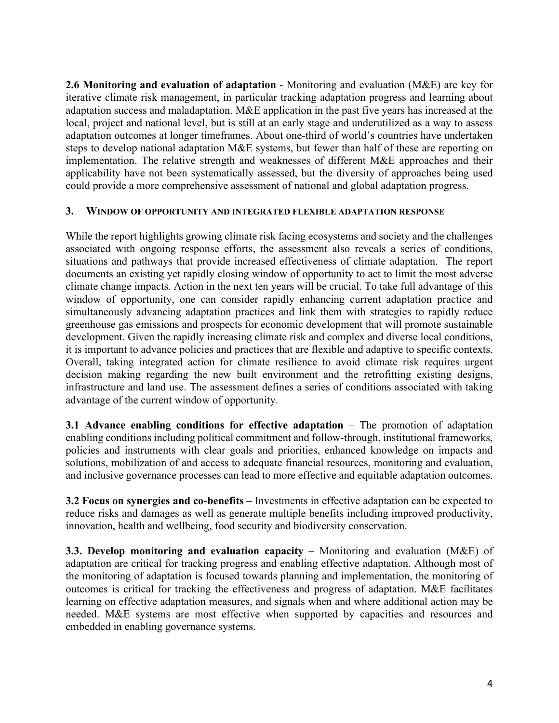**2.6 Monitoring and evaluation of adaptation** - Monitoring and evaluation (M&E) are key for iterative climate risk management, in particular tracking adaptation progress and learning about adaptation success and maladaptation. M&E application in the past five years has increased at the local, project and national level, but is still at an early stage and underutilized as a way to assess adaptation outcomes at longer timeframes. About one-third of world's countries have undertaken steps to develop national adaptation M&E systems, but fewer than half of these are reporting on implementation. The relative strength and weaknesses of different M&E approaches and their applicability have not been systematically assessed, but the diversity of approaches being used could provide a more comprehensive assessment of national and global adaptation progress.

## **3. WINDOW OF OPPORTUNITY AND INTEGRATED FLEXIBLE ADAPTATION RESPONSE**

While the report highlights growing climate risk facing ecosystems and society and the challenges associated with ongoing response efforts, the assessment also reveals a series of conditions, situations and pathways that provide increased effectiveness of climate adaptation. The report documents an existing yet rapidly closing window of opportunity to act to limit the most adverse climate change impacts. Action in the next ten years will be crucial. To take full advantage of this window of opportunity, one can consider rapidly enhancing current adaptation practice and simultaneously advancing adaptation practices and link them with strategies to rapidly reduce greenhouse gas emissions and prospects for economic development that will promote sustainable development. Given the rapidly increasing climate risk and complex and diverse local conditions, it is important to advance policies and practices that are flexible and adaptive to specific contexts. Overall, taking integrated action for climate resilience to avoid climate risk requires urgent decision making regarding the new built environment and the retrofitting existing designs, infrastructure and land use. The assessment defines a series of conditions associated with taking advantage of the current window of opportunity.

**3.1 Advance enabling conditions for effective adaptation** – The promotion of adaptation enabling conditions including political commitment and follow-through, institutional frameworks, policies and instruments with clear goals and priorities, enhanced knowledge on impacts and solutions, mobilization of and access to adequate financial resources, monitoring and evaluation, and inclusive governance processes can lead to more effective and equitable adaptation outcomes.

**3.2 Focus on synergies and co-benefits** – Investments in effective adaptation can be expected to reduce risks and damages as well as generate multiple benefits including improved productivity, innovation, health and wellbeing, food security and biodiversity conservation.

**3.3. Develop monitoring and evaluation capacity** – Monitoring and evaluation (M&E) of adaptation are critical for tracking progress and enabling effective adaptation. Although most of the monitoring of adaptation is focused towards planning and implementation, the monitoring of outcomes is critical for tracking the effectiveness and progress of adaptation. M&E facilitates learning on effective adaptation measures, and signals when and where additional action may be needed. M&E systems are most effective when supported by capacities and resources and embedded in enabling governance systems.